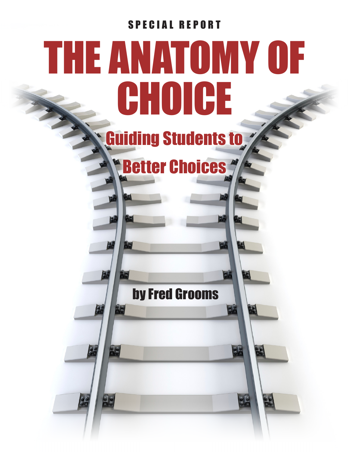# SPECIAL REPORT THE ANATOMY OF **CHOICE** Guiding Students to **Retter Choices \*** VEI by Fred Grooms $rac{5}{26}$ 96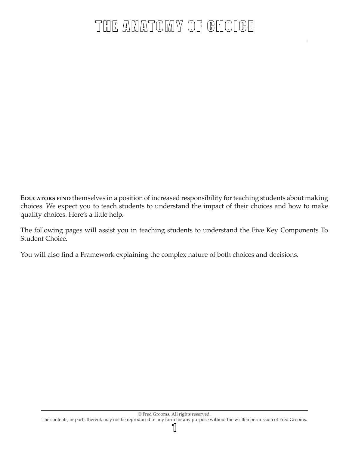**EDUCATORS FIND** themselves in a position of increased responsibility for teaching students about making choices. We expect you to teach students to understand the impact of their choices and how to make quality choices. Here's a little help.

The following pages will assist you in teaching students to understand the Five Key Components To Student Choice.

You will also find a Framework explaining the complex nature of both choices and decisions.

1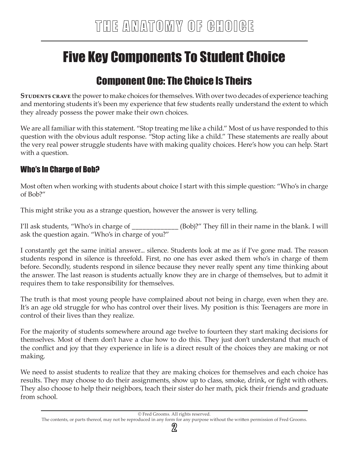# Five Key Components To Student Choice

## Component One: The Choice Is Theirs

**STUDENTS CRAVE** the power to make choices for themselves. With over two decades of experience teaching and mentoring students it's been my experience that few students really understand the extent to which they already possess the power make their own choices.

We are all familiar with this statement. "Stop treating me like a child." Most of us have responded to this question with the obvious adult response. "Stop acting like a child." These statements are really about the very real power struggle students have with making quality choices. Here's how you can help. Start with a question.

#### Who's In Charge of Bob?

Most often when working with students about choice I start with this simple question: "Who's in charge of Bob?"

This might strike you as a strange question, however the answer is very telling.

I'll ask students, "Who's in charge of \_\_\_\_\_\_\_\_\_\_\_\_\_ (Bob)?" They fill in their name in the blank. I will ask the question again. "Who's in charge of you?"

I constantly get the same initial answer... silence. Students look at me as if I've gone mad. The reason students respond in silence is threefold. First, no one has ever asked them who's in charge of them before. Secondly, students respond in silence because they never really spent any time thinking about the answer. The last reason is students actually know they are in charge of themselves, but to admit it requires them to take responsibility for themselves.

The truth is that most young people have complained about not being in charge, even when they are. It's an age old struggle for who has control over their lives. My position is this: Teenagers are more in control of their lives than they realize.

For the majority of students somewhere around age twelve to fourteen they start making decisions for themselves. Most of them don't have a clue how to do this. They just don't understand that much of the conflict and joy that they experience in life is a direct result of the choices they are making or not making.

We need to assist students to realize that they are making choices for themselves and each choice has results. They may choose to do their assignments, show up to class, smoke, drink, or fight with others. They also choose to help their neighbors, teach their sister do her math, pick their friends and graduate from school.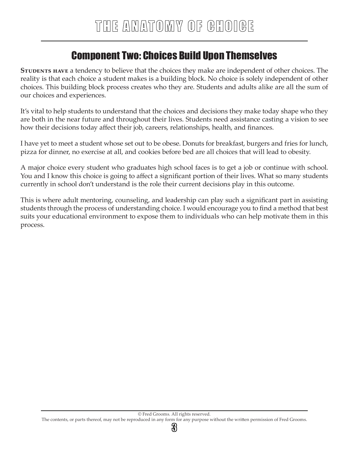## Component Two: Choices Build Upon Themselves

**STUDENTS HAVE** a tendency to believe that the choices they make are independent of other choices. The reality is that each choice a student makes is a building block. No choice is solely independent of other choices. This building block process creates who they are. Students and adults alike are all the sum of our choices and experiences.

It's vital to help students to understand that the choices and decisions they make today shape who they are both in the near future and throughout their lives. Students need assistance casting a vision to see how their decisions today affect their job, careers, relationships, health, and finances.

I have yet to meet a student whose set out to be obese. Donuts for breakfast, burgers and fries for lunch, pizza for dinner, no exercise at all, and cookies before bed are all choices that will lead to obesity.

A major choice every student who graduates high school faces is to get a job or continue with school. You and I know this choice is going to affect a significant portion of their lives. What so many students currently in school don't understand is the role their current decisions play in this outcome.

This is where adult mentoring, counseling, and leadership can play such a significant part in assisting students through the process of understanding choice. I would encourage you to find a method that best suits your educational environment to expose them to individuals who can help motivate them in this process.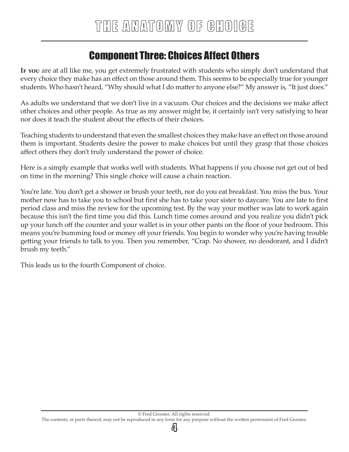## Component Three: Choices Affect Others

**If you** are at all like me, you get extremely frustrated with students who simply don't understand that every choice they make has an effect on those around them. This seems to be especially true for younger students. Who hasn't heard, "Why should what I do matter to anyone else?" My answer is, "It just does."

As adults we understand that we don't live in a vacuum. Our choices and the decisions we make affect other choices and other people. As true as my answer might be, it certainly isn't very satisfying to hear nor does it teach the student about the effects of their choices.

Teaching students to understand that even the smallest choices they make have an effect on those around them is important. Students desire the power to make choices but until they grasp that those choices affect others they don't truly understand the power of choice.

Here is a simply example that works well with students. What happens if you choose not get out of bed on time in the morning? This single choice will cause a chain reaction.

You're late. You don't get a shower or brush your teeth, nor do you eat breakfast. You miss the bus. Your mother now has to take you to school but first she has to take your sister to daycare. You are late to first period class and miss the review for the upcoming test. By the way your mother was late to work again because this isn't the first time you did this. Lunch time comes around and you realize you didn't pick up your lunch off the counter and your wallet is in your other pants on the floor of your bedroom. This means you're bumming food or money off your friends. You begin to wonder why you're having trouble getting your friends to talk to you. Then you remember, "Crap. No shower, no deodorant, and I didn't brush my teeth."

This leads us to the fourth Component of choice.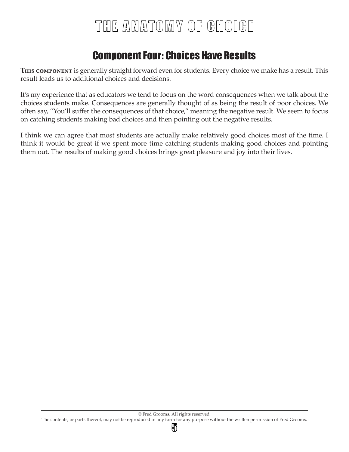## Component Four: Choices Have Results

**This component** is generally straight forward even for students. Every choice we make has a result. This result leads us to additional choices and decisions.

It's my experience that as educators we tend to focus on the word consequences when we talk about the choices students make. Consequences are generally thought of as being the result of poor choices. We often say, "You'll suffer the consequences of that choice," meaning the negative result. We seem to focus on catching students making bad choices and then pointing out the negative results.

I think we can agree that most students are actually make relatively good choices most of the time. I think it would be great if we spent more time catching students making good choices and pointing them out. The results of making good choices brings great pleasure and joy into their lives.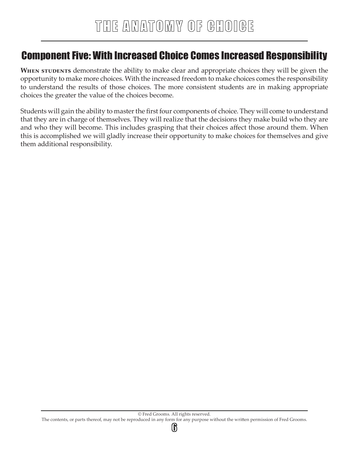### Component Five: With Increased Choice Comes Increased Responsibility

WHEN STUDENTS demonstrate the ability to make clear and appropriate choices they will be given the opportunity to make more choices. With the increased freedom to make choices comes the responsibility to understand the results of those choices. The more consistent students are in making appropriate choices the greater the value of the choices become.

Students will gain the ability to master the first four components of choice. They will come to understand that they are in charge of themselves. They will realize that the decisions they make build who they are and who they will become. This includes grasping that their choices affect those around them. When this is accomplished we will gladly increase their opportunity to make choices for themselves and give them additional responsibility.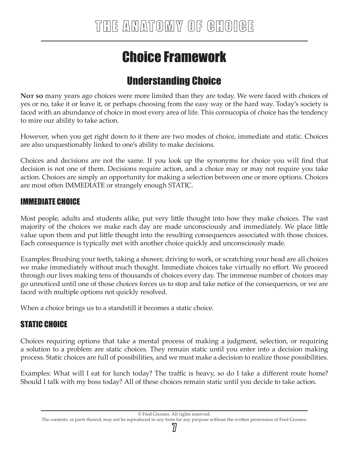# Choice Framework

# Understanding Choice

**Not so** many years ago choices were more limited than they are today. We were faced with choices of yes or no, take it or leave it, or perhaps choosing from the easy way or the hard way. Today's society is faced with an abundance of choice in most every area of life. This cornucopia of choice has the tendency to mire our ability to take action.

However, when you get right down to it there are two modes of choice, immediate and static. Choices are also unquestionably linked to one's ability to make decisions.

Choices and decisions are not the same. If you look up the synonyms for choice you will find that decision is not one of them. Decisions require action, and a choice may or may not require you take action. Choices are simply an opportunity for making a selection between one or more options. Choices are most often IMMEDIATE or strangely enough STATIC.

#### IMMEDIATE CHOICE

Most people, adults and students alike, put very little thought into how they make choices. The vast majority of the choices we make each day are made unconsciously and immediately. We place little value upon them and put little thought into the resulting consequences associated with those choices. Each consequence is typically met with another choice quickly and unconsciously made.

Examples: Brushing your teeth, taking a shower, driving to work, or scratching your head are all choices we make immediately without much thought. Immediate choices take virtually no effort. We proceed through our lives making tens of thousands of choices every day. The immense number of choices may go unnoticed until one of those choices forces us to stop and take notice of the consequences, or we are faced with multiple options not quickly resolved.

When a choice brings us to a standstill it becomes a static choice.

#### STATIC CHOICE

Choices requiring options that take a mental process of making a judgment, selection, or requiring a solution to a problem are static choices. They remain static until you enter into a decision making process. Static choices are full of possibilities, and we must make a decision to realize those possibilities.

Examples: What will I eat for lunch today? The traffic is heavy, so do I take a different route home? Should I talk with my boss today? All of these choices remain static until you decide to take action.

<sup>©</sup> Fred Grooms. All rights reserved.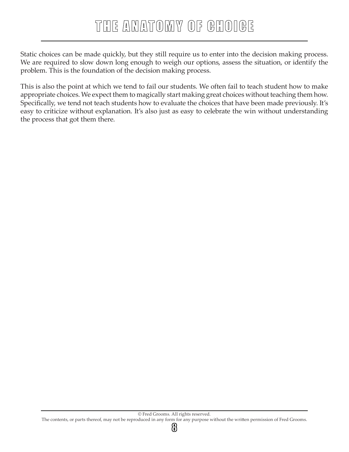# THE ANATOMY OF GHOIGE

Static choices can be made quickly, but they still require us to enter into the decision making process. We are required to slow down long enough to weigh our options, assess the situation, or identify the problem. This is the foundation of the decision making process.

This is also the point at which we tend to fail our students. We often fail to teach student how to make appropriate choices. We expect them to magically start making great choices without teaching them how. Specifically, we tend not teach students how to evaluate the choices that have been made previously. It's easy to criticize without explanation. It's also just as easy to celebrate the win without understanding the process that got them there.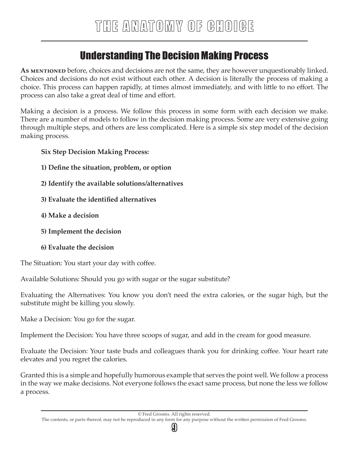## Understanding The Decision Making Process

As **MENTIONED** before, choices and decisions are not the same, they are however unquestionably linked. Choices and decisions do not exist without each other. A decision is literally the process of making a choice. This process can happen rapidly, at times almost immediately, and with little to no effort. The process can also take a great deal of time and effort.

Making a decision is a process. We follow this process in some form with each decision we make. There are a number of models to follow in the decision making process. Some are very extensive going through multiple steps, and others are less complicated. Here is a simple six step model of the decision making process.

#### **Six Step Decision Making Process:**

- **1) Define the situation, problem, or option**
- **2) Identify the available solutions/alternatives**
- **3) Evaluate the identified alternatives**
- **4) Make a decision**
- **5) Implement the decision**
- **6) Evaluate the decision**

The Situation: You start your day with coffee.

Available Solutions: Should you go with sugar or the sugar substitute?

Evaluating the Alternatives: You know you don't need the extra calories, or the sugar high, but the substitute might be killing you slowly.

Make a Decision: You go for the sugar.

Implement the Decision: You have three scoops of sugar, and add in the cream for good measure.

Evaluate the Decision: Your taste buds and colleagues thank you for drinking coffee. Your heart rate elevates and you regret the calories.

Granted this is a simple and hopefully humorous example that serves the point well. We follow a process in the way we make decisions. Not everyone follows the exact same process, but none the less we follow a process.

ပ္ဗု

The contents, or parts thereof, may not be reproduced in any form for any purpose without the written permission of Fred Grooms.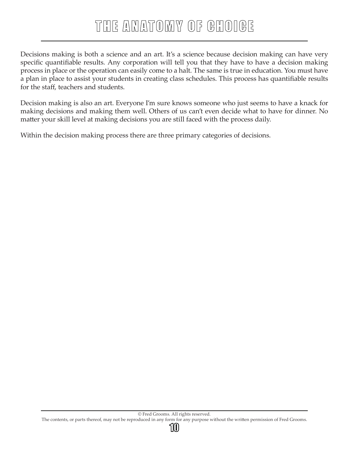# THE ANATOMY OF GHOIGE

Decisions making is both a science and an art. It's a science because decision making can have very specific quantifiable results. Any corporation will tell you that they have to have a decision making process in place or the operation can easily come to a halt. The same is true in education. You must have a plan in place to assist your students in creating class schedules. This process has quantifiable results for the staff, teachers and students.

Decision making is also an art. Everyone I'm sure knows someone who just seems to have a knack for making decisions and making them well. Others of us can't even decide what to have for dinner. No matter your skill level at making decisions you are still faced with the process daily.

Within the decision making process there are three primary categories of decisions.

1II)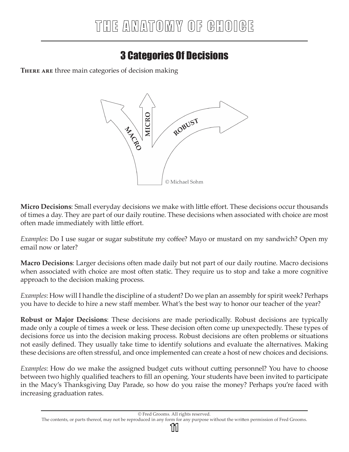# 3 Categories Of Decisions

**There are** three main categories of decision making



**Micro Decisions**: Small everyday decisions we make with little effort. These decisions occur thousands of times a day. They are part of our daily routine. These decisions when associated with choice are most often made immediately with little effort.

*Examples*: Do I use sugar or sugar substitute my coffee? Mayo or mustard on my sandwich? Open my email now or later?

**Macro Decisions**: Larger decisions often made daily but not part of our daily routine. Macro decisions when associated with choice are most often static. They require us to stop and take a more cognitive approach to the decision making process.

*Examples*: How will I handle the discipline of a student? Do we plan an assembly for spirit week? Perhaps you have to decide to hire a new staff member. What's the best way to honor our teacher of the year?

**Robust or Major Decisions**: These decisions are made periodically. Robust decisions are typically made only a couple of times a week or less. These decision often come up unexpectedly. These types of decisions force us into the decision making process. Robust decisions are often problems or situations not easily defined. They usually take time to identify solutions and evaluate the alternatives. Making these decisions are often stressful, and once implemented can create a host of new choices and decisions.

*Examples*: How do we make the assigned budget cuts without cutting personnel? You have to choose between two highly qualified teachers to fill an opening. Your students have been invited to participate in the Macy's Thanksgiving Day Parade, so how do you raise the money? Perhaps you're faced with increasing graduation rates.

#### The contents, or parts thereof, may not be reproduced in any form for any purpose without the written permission of Fred Grooms.

าทเ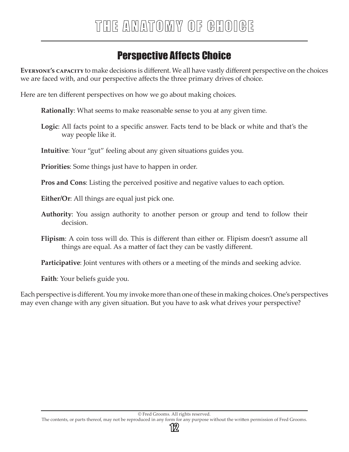# Perspective Affects Choice

**Everyone's capacity** to make decisions is different. We all have vastly different perspective on the choices we are faced with, and our perspective affects the three primary drives of choice.

Here are ten different perspectives on how we go about making choices.

**Rationally**: What seems to make reasonable sense to you at any given time.

**Logic**: All facts point to a specific answer. Facts tend to be black or white and that's the way people like it.

**Intuitive**: Your "gut" feeling about any given situations guides you.

**Priorities**: Some things just have to happen in order.

**Pros and Cons**: Listing the perceived positive and negative values to each option.

**Either/Or**: All things are equal just pick one.

- **Authority**: You assign authority to another person or group and tend to follow their decision.
- **Flipism**: A coin toss will do. This is different than either or. Flipism doesn't assume all things are equal. As a matter of fact they can be vastly different.

**Participative**: Joint ventures with others or a meeting of the minds and seeking advice.

**Faith**: Your beliefs guide you.

Each perspective is different. You my invoke more than one of these in making choices. One's perspectives may even change with any given situation. But you have to ask what drives your perspective?

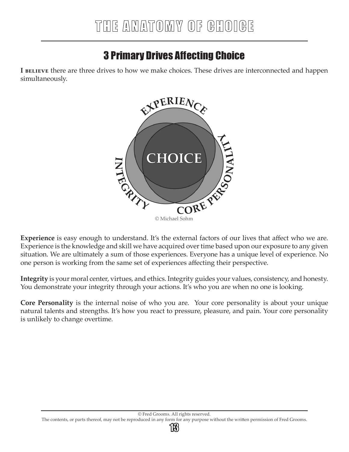# 3 Primary Drives Affecting Choice

**I BELIEVE** there are three drives to how we make choices. These drives are interconnected and happen simultaneously.



**Experience** is easy enough to understand. It's the external factors of our lives that affect who we are. Experience is the knowledge and skill we have acquired over time based upon our exposure to any given situation. We are ultimately a sum of those experiences. Everyone has a unique level of experience. No one person is working from the same set of experiences affecting their perspective.

**Integrity** is your moral center, virtues, and ethics. Integrity guides your values, consistency, and honesty. You demonstrate your integrity through your actions. It's who you are when no one is looking.

**Core Personality** is the internal noise of who you are. Your core personality is about your unique natural talents and strengths. It's how you react to pressure, pleasure, and pain. Your core personality is unlikely to change overtime.

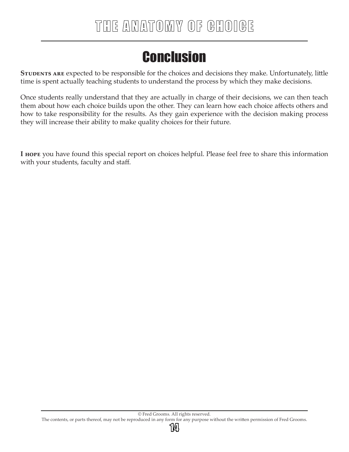# **Conclusion**

**STUDENTS ARE** expected to be responsible for the choices and decisions they make. Unfortunately, little time is spent actually teaching students to understand the process by which they make decisions.

Once students really understand that they are actually in charge of their decisions, we can then teach them about how each choice builds upon the other. They can learn how each choice affects others and how to take responsibility for the results. As they gain experience with the decision making process they will increase their ability to make quality choices for their future.

**I hope** you have found this special report on choices helpful. Please feel free to share this information with your students, faculty and staff.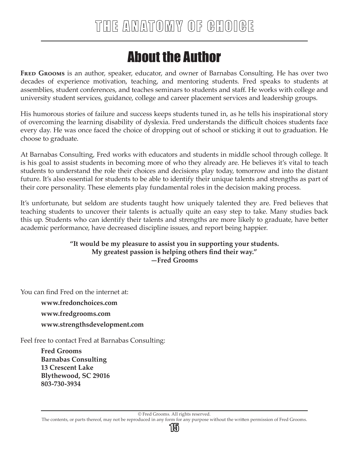# About the Author

FRED GROOMS is an author, speaker, educator, and owner of Barnabas Consulting. He has over two decades of experience motivation, teaching, and mentoring students. Fred speaks to students at assemblies, student conferences, and teaches seminars to students and staff. He works with college and university student services, guidance, college and career placement services and leadership groups.

His humorous stories of failure and success keeps students tuned in, as he tells his inspirational story of overcoming the learning disability of dyslexia. Fred understands the difficult choices students face every day. He was once faced the choice of dropping out of school or sticking it out to graduation. He choose to graduate.

At Barnabas Consulting, Fred works with educators and students in middle school through college. It is his goal to assist students in becoming more of who they already are. He believes it's vital to teach students to understand the role their choices and decisions play today, tomorrow and into the distant future. It's also essential for students to be able to identify their unique talents and strengths as part of their core personality. These elements play fundamental roles in the decision making process.

It's unfortunate, but seldom are students taught how uniquely talented they are. Fred believes that teaching students to uncover their talents is actually quite an easy step to take. Many studies back this up. Students who can identify their talents and strengths are more likely to graduate, have better academic performance, have decreased discipline issues, and report being happier.

#### **"It would be my pleasure to assist you in supporting your students. My greatest passion is helping others find their way." —Fred Grooms**

You can find Fred on the internet at:

**www.fredonchoices.com www.fredgrooms.com www.strengthsdevelopment.com** 

Feel free to contact Fred at Barnabas Consulting:

**Fred Grooms Barnabas Consulting 13 Crescent Lake Blythewood, SC 29016 803-730-3934**